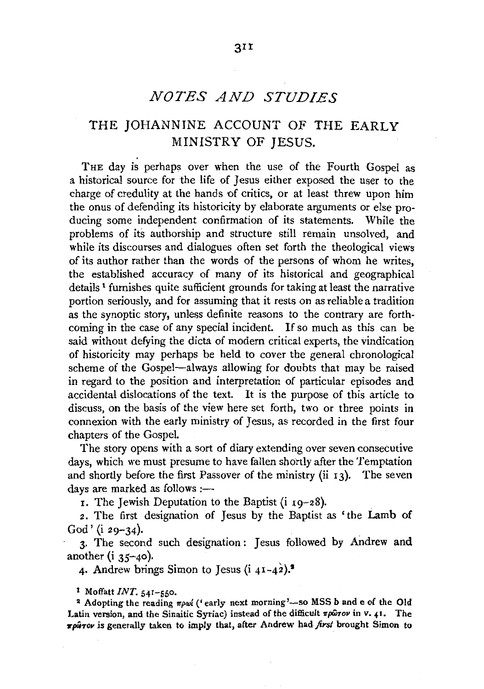# *NOTES AND STUDIES*

# THE JOHANNINE ACCOUNT OF THE EARLy MINISTRY OF JESUS.

THE day is perhaps over when the use of the Fourth Gospel as a historical source for the life of Jesus either exposed the user to the charge of credulity at the hands of critics, or at least threw upon him the onus of defending its historicity by elaborate arguments or else producing some independent confirmation of its statements. While the problems of its authorship and structure still remain unsolved, and while its discourses and dialogues often set forth the theological views of its author rather than the words of the persons of whom he writes, the established accuracy of many of its historical and geographical details 1 furnishes quite sufficient grounds for taking at least the narrative portion seriously, and for assuming that it rests on as reliable a tradition as the synoptic story, unless definite reasons to the contrary are forthcoming in the case of any special incident. If so much as this can be said without defying the dicta of modern critical experts, the vindication of historicity may perhaps be held to cover the general chronological scheme of the Gospel-always allowing for doubts that may be raised in regard to the position and interpretation of particular episodes and accidental dislocations of the text. It is the purpose of this article to discuss, on the basis of the view here set forth, two or three points in connexion with the early ministry of Jesus, as recorded in the first four chapters of the Gospel.

The story opens with a sort of diary extending over seven consecutive days, which we must presume to have fallen shortly after the Temptation and shortly before the first Passover of the ministry (ii 13). The seven days are marked as follows  $:$ ---

 $\mathbf{I}$ . The Jewish Deputation to the Baptist (i  $\mathbf{I}$ 9-28).

2. The first designation of Jesus by the Baptist as 'the Lamb of God' (i 29–34).

3· The second such designation : Jesus followed by Andrew and another (i 35-40).

4. Andrew brings Simon to Jesus ( $i$  41-42).<sup>3</sup>

1 Moffatt *INT.* 54r-sso.

<sup>2</sup> Adopting the reading  $\pi \rho \omega i$  ('early next morning'-so MSS b and e of the Old Latin version, and the Sinaitic Syriac) instead of the difficult  $\pi \rho \hat{\omega} \tau \circ \nu$  in v. 41. The  $\pi \rho \hat{\omega} \tau \hat{\omega}$  is generally taken to imply that, after Andrew had *first* brought Simon to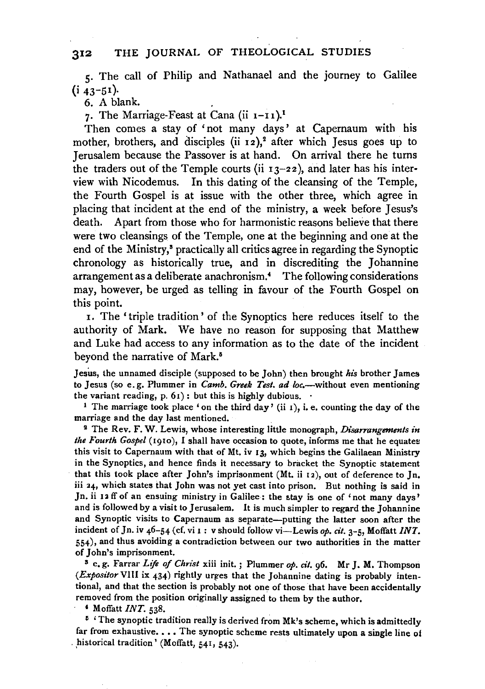#### 312 THE JOURNAL OF THEOLOGICAL STUDIES

5· The call of Philip and Nathanael and the journey to Galilee  $(i 43 - 51)$ .

6. A blank.

7. The Marriage-Feast at Cana (ii  $1-11$ ).<sup>1</sup>

Then comes a stay of 'not many days' at Capernaum with his mother, brothers, and disciples (ii  $12$ ),<sup>2</sup> after which Jesus goes up to Jerusalem because the Passover is at hand. On arrival there he turns the traders out of the Temple courts (ii  $13-22$ ), and later has his interview with Nicodemus. In this dating of the cleansing of the Temple, the Fourth Gospel is at issue with the other three, which agree in placing that incident at the end of the ministry, a week before Jesus's death. Apart from those who for harmonistic reasons believe that there were two cleansings of the Temple, one at the beginning and one at the end of the Ministry,<sup>3</sup> practically all critics agree in regarding the Synoptic chronology as historically true, and in discrediting the Johannine arrangement as a deliberate anachronism.• The following considerations may, however, be urged as telling in favour of the Fourth Gospel on this point.

x. The 'triple tradition' of the Synoptics here reduces itself to the authority of Mark. We have no reason for supposing that Matthew and Luke had access to any information as to the date of the incident beyond the narrative of Mark.<sup>5</sup>

Jesus, the unnamed disciple (supposed to be John) then brought *his* brother James to Jesus (so e.g. Plummer in *Camb. Greek Test. ad loc*.-without even mentioning the variant reading,  $p. 61$ : but this is highly dubious.  $\cdot$ 

<sup>1</sup> The marriage took place 'on the third day' (ii 1), i. e. counting the day of the marriage and the day last mentioned.<br><sup>2</sup> The Rev. F. W. Lewis, whose interesting little monograph, *Disarrangements in* 

*the Fourth Gospel* (1910), I shall have occasion to quote, informs me that he equates this visit to Capernaum with that of Mt. iv 13, which begins the Galilaean Ministry in the Synoptics, and hence finds it necessary to bracket the Synoptic statement that this took place after John's imprisonment (Mt. ii 12), out of deference to Jn. iii 24, which states that John was not yet cast into prison. But nothing is said in Jn. ii 12 ff of an ensuing ministry in Galilee : the stay is one of 'not many days' and is followed by a visit to Jerusalem. It is much simpler to regard the Johannine and Synoptic visits to Capernaum as separate-putting the latter soon after the incident of Jn. iv 46-54 (cf. vi 1 : v should follow vi-Lewis op. cit. 3-5, Moffatt *INT*. 554), and thus avoiding a contradiction between our two authorities in the matter

of John's imprisonment. 8 e. g. Farrar *Lift of Ch.-ist* xiii in it. ; Plummer *op. cit. g6.* Mr J. M. Thompson *(Expositor* VIII ix 434) rightly urges that the Johannine dating is probably intentional, and that the section is probably not one of those that have been accidentally removed from the position originally assigned to them by the author.

<sup>4</sup> Moffatt *INT*. 538.<br><sup>5</sup> 'The synoptic tradition really is derived from Mk's scheme, which is admittedly far from exhaustive. . . . The synoptic scheme rests ultimately upon a single line of . historical tradition' (Moffatt, 541, 543).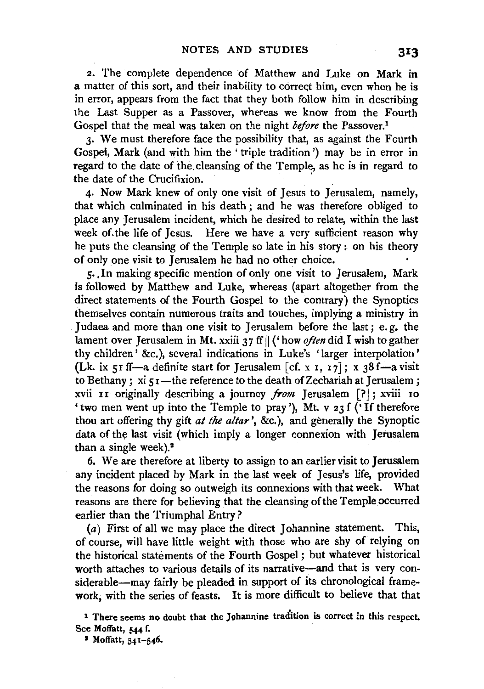2. The complete dependence of Matthew and Luke on Mark in a matter of this sort, and their inability to correct him, even when he is in error, appears from the fact that they both follow him in describing the Last Supper as a Passover, whereas we know from the Fourth Gospel that the meal was taken on the night *before* the Passover.<sup>1</sup>

3· We must therefore face the possibility that, as against the Fourth Gospel, Mark (and with him the ' triple tradition') may be in error in regard to the date of the. cleansing of the Temple, as he is in regard to the date of the Crucifixion.

4· Now Mark knew of only one visit of Jesus to Jerusalem, namely, that which culminated in his death; and he was therefore obliged to place any Jerusalem incident, which he desired to relate, within the last week of. the life of Jesus. Here we have a very sufficient reason why he puts the cleansing of the Temple so late in his story : on his theory of only one visit to Jerusalem he had no other choice.

5· .In making specific mention of only one visit to Jerusalem, Mark is followed by Matthew and Luke, whereas (apart altogether from the direct statements of the Fourth Gospel to the contrary) the Synoptics themselves contain numerous traits and touches, implying a ministry in Judaea and more than one visit to Jerusalem before the last; e.g. the lament over Jerusalem in Mt. xxiii 37 ff || (' how *often* did I wish to gather thy children' &c.), several indications in Luke's 'larger interpolation' (Lk. ix 51 ff-a definite start for Jerusalem [cf. x 1, 17]; x 38 f-a visit to Bethany: xi 51-the reference to the death of Zechariah at Jerusalem; xvii II originally describing a journey *from* Jerusalem [?J; xviii xo 'two men went up into the Temple to pray'), Mt. v 23 f  $($ 'If therefore thou art offering thy gift *at the altar',* &c.), and generally the Synoptic data of the last visit (which imply a longer connexion with Jerusalem than a single week).<sup>2</sup>

6. We are therefore at liberty to assign to an earlier visit to Jerusalem any incident placed by Mark in the last week of Jesus's life, provided the reasons for doing so outweigh its connexions with that week. What reasons are there for believing that the cleansing ofthe Temple occurred earlier than the Triumphal Entry?

(a) First of all we may place the direct Johannine statement. This, of course, will have little weight with those who are shy of relying on the historical statements of the Fourth Gospel; but whatever historical worth attaches to various details of its narrative-and that is very considerable-may fairly be pleaded in support of its chronological framework, with the series of feasts. It is more difficult to believe that that

1 There seems no doubt that the Johannine tradition is correct in this respect. See Moffatt, 544 f.

<sup>2</sup> Moffatt, 541-546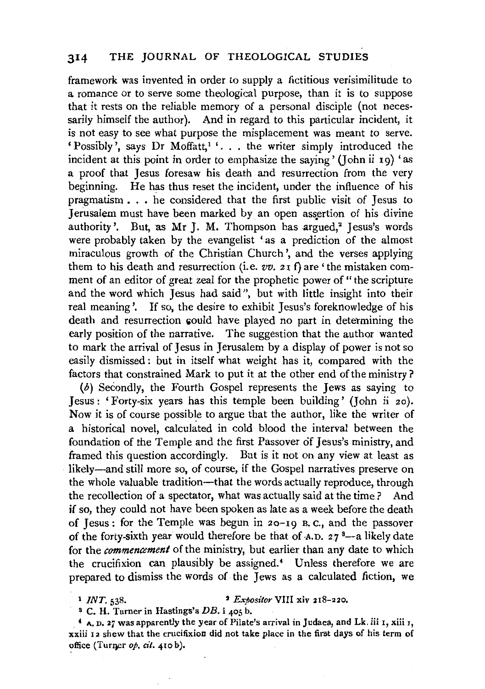## **314** THE JOURNAL OF THEOLOGICAL STUDIES

framework was invented in order to supply a fictitious verisimilitude to a romance or to serve some theological purpose, than it is to suppose that it rests on the reliable memory of a personal disciple (not neces· sarily himself the author). And in regard to this particular incident, it is not easy to see what purpose the misplacement was meant to serve. 'Possibly', says Dr Moffatt,<sup>1</sup>'... the writer simply introduced the incident at this point in order to emphasize the saying' (John ii 19) 'as a proof that Jesus foresaw his death and resurrection from the very beginning. He has thus reset the incident, under the influence of his pragmatism • . • he considered that the first public visit of Jesus to Jerusalem must have been marked by an open assertion of his divine authority'. But, as Mr J. M. Thompson has argued.<sup>2</sup> Jesus's words were probably taken by the evangelist 'as a prediction of the almost miraculous growth of the Christian Church', and the verses applying them to his death and resurrection (i.e. *vv.* 21 f) are 'the mistaken comment of an editor of great zeal for the prophetic power of " the scripture and the word which Jesus had said", but with little insight into their real meaning'. If so, the desire to exhibit Jesus's foreknowledge of his death and resurrection could have played no part in determining the early position of the narrative. The suggestion that the author wanted to mark the arrival of Jesus in Jerusalem by a display of power is not so easily dismissed: but in itself what weight has it, compared with the factors that constrained Mark to put it at the other end of the ministry ?

(b) Secondly, the Fourth Gospel represents the Jews as saying to Jesus: 'Forty-six years has this temple been building' (John ii 2o). Now it is of course possible to argue that the author, like the writer of a historical novel, calculated in cold blood the interval between the foundation of the Temple and the first Passover of Jesus's ministry, and framed this question accordingly. But is it not on any view at least as likely-and still more so, of course, if the Gospel narratives preserve on the whole valuable tradition-that the words actually reproduce, through the recollection of a spectator, what was actually said at the time? And if so, they could not have been spoken as late as a week before the death of Jesus: for the Temple was begun in 20-19 B. c., and the passover of the forty-sixth year would therefore be that of  $A.D.$   $27 \times 27$  a likely date for the *commencement* of the ministry, but earlier than any date to which the crucifixion can plausibly be assigned.<sup>4</sup> Unless therefore we are prepared to dismiss the words of the Jews as a calculated fiction, we

<sup>1</sup>*INT.* 538. 2 *Expositor* VIII xiv 218-220.

 $3$  C. H. Turner in Hastings's DB. i 405 b.

 $'$  A. D. 27 was apparently the year of Pilate's arrival in Judaea, and Lk. iii 1, xiii 1, xxiii 12 shew that the crucifixion did not take place in the first days of his term of office (Turner *op. cit.* 410 b).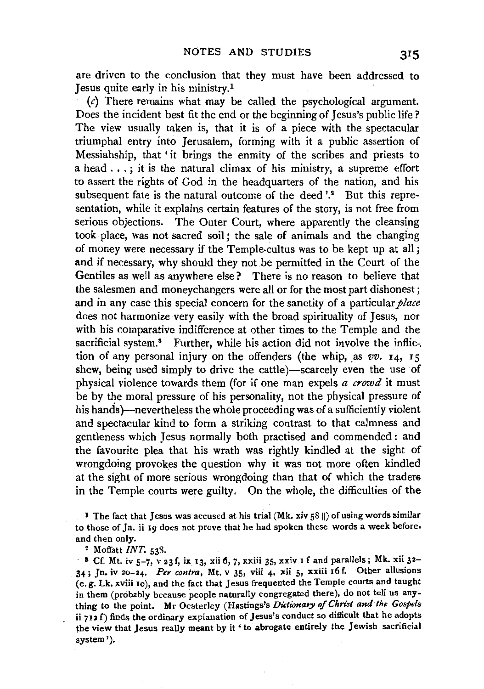are driven to the conclusion that they must have been addressed to Jesus quite early in his ministry.!

 $(c)$  There remains what may be called the psychological argument. Does the incident best fit the end or the beginning of Jesus's public life? The view usually taken is, that it is of a piece with the spectacular triumphal entry into Jerusalem, forming with it a public assertion of Messiahship, that 'it brings the enmity of the scribes and priests to a head  $\ldots$ ; it is the natural climax of his ministry, a supreme effort to assert the rights of God in the headquarters of the nation, and his subsequent fate is the natural outcome of the deed '.<sup>2</sup> But this representation, while it explains certain features of the story, is not free from serious objections. The Outer Court, where apparently the cleansing took place, was not sacred soil ; the sale of animals and the changing of money were necessary if the Temple-cultus was to be kept up at all ; and if necessary, why should they not be permitted in the Court of the Gentiles as well as anywhere else? There is no reason to believe that the salesmen and moneychangers were all or for the most part dishonest ; and in any case this special concern for the sanctity of a particular *place*  does not harmonize very easily with the broad spirituality of Jesus, nor with his comparative indifference at other times to the Temple and the sacrificial system.<sup>3</sup> Further, while his action did not involve the infliction of any personal injury on the offenders (the whip, as  $vv$ ,  $14$ ,  $15$ shew, being used simply to drive the cattle)-scarcely even the use of physical violence towards them (for if one man expels *a crowd* it must be by the moral pressure of his personality, not the physical pressure of his hands)---nevertheless the whole proceeding was of a sufficiently violent and spectacular kind to form a striking contrast to that calmness and gentleness which Jesus normally both practised and commended : and the favourite plea that his wrath was rightly kindled at the sight of wrongdoing provokes the question why it was not more often kindled at the sight of more serious wrongdoing than that of which the traders in the Temple courts were guilty. On the whole, the difficulties of the

<sup>1</sup> The fact that Jesus was accused at his trial  $(Mk, xiv 58 \parallel)$  of using words similar to those of Jn. ii 19 does not prove that he had spoken these words a week before. and then only.<br><sup>2</sup> Moffatt *INT*. 53S.

• 8 Cf. Mt. iv 5-7, v 23 f, ix 13, xii 6, 7, xxiii 35, xxiv 1 f and parallels; Mk. xii 32-34; Jn. iv 20-24. *Per contra,* Mt. v 35, viii 4• xii 5, xxiii 16 f. Other allusions (e. g. Lk. xviii lo), and the fact that Jesus frequented the Temple courts and taught in them (probably because people naturally congregated there), do not tell us anything to the point. Mr Oesterley (Hastings's *Dictionary of Christ and the Gospels*  ii 712 f) finds the ordinary explanation of Jesus's conduct so difficult that he adopts the view that Jesus really meant by it ' to abrogate entirely the Jewish sacrificial system').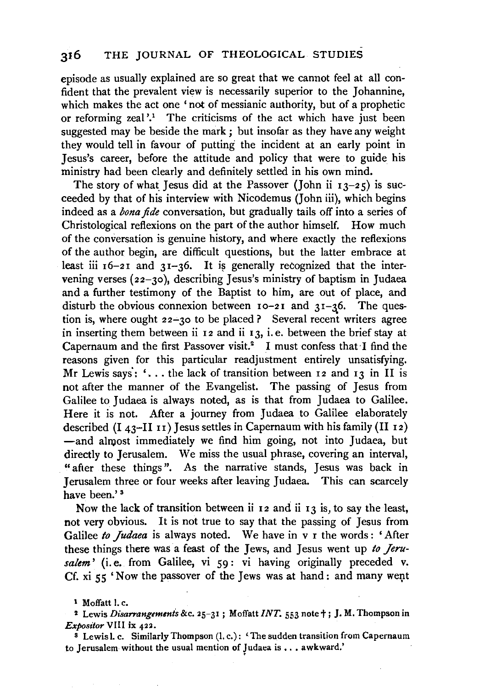episode as usually explained are so great that we cannot feel at all confident that the prevalent view is necessarily superior to the Johannine. which makes the act one 'not of messianic authority, but of a prophetic or reforming  $\text{real}^{\prime}$ .<sup>1</sup> The criticisms of the act which have just been suggested may be beside the mark; but insofar as they have any weight they would tell in favour of putting the incident at an early point in Jesus's career, before the attitude and policy that were to guide his ministry had been clearly and definitely settled in his own mind.

The story of what I esus did at the Passover (John ii  $13-25$ ) is succeeded by that of his interview with Nicodemus (John iii), which begins indeed as a *bona fide* conversation, but gradually tails off into a series of Christological reflexions on the part of the author himself. How much of the conversation is genuine history, and where exactly the reflexions of the author begin, are difficult questions, but the latter embrace at least iii  $16-21$  and  $31-36$ . It is generally recognized that the intervening verses (22-30), describing Jesus's ministry of baptism in Judaea and a further testimony of the Baptist to him, are out of place, and disturb the obvious connexion between  $10-21$  and  $31-36$ . The question is, where ought  $22$ -30 to be placed ? Several recent writers agree in inserting them between ii  $12$  and ii  $13$ , i.e. between the brief stay at Capernaum and the first Passover visit.<sup>2</sup> I must confess that I find the reasons given for this particular readjustment entirely unsatisfying. Mr Lewis says: '... the lack of transition between  $12$  and  $13$  in II is not after the manner of the Evangelist. The passing of Jesus from Galilee to Judaea is always noted, as is that from Judaea to Galilee. Here it is not. After a journey from Judaea to Galilee elaborately described (I 43-II II) Jesus settles in Capernaum with his family (II  $12$ ) -and almost immediately we find him going, not into Judaea, but directly to Jerusalem. We miss the usual phrase, covering an interval, "after these things". As the narrative stands, Jesus was back in Jerusalem three or four weeks after leaving Judaea. This can scarcely have heen.'<sup>3</sup>

Now the lack of transition between ii 12 and ii 13 is, to say the least, not very obvious. It is not true to say that the passing of Jesus from Galilee to Judaea is always noted. We have in v I the words: 'After these things there was a feast of the Jews, and Jesus went up *to Jeru*salem' (i.e. from Galilee, vi 59: vi having originally preceded v. Cf. xi  $55$  'Now the passover of the Jews was at hand : and many went

 $\overline{a}$  Lewis I. c. Similarly Thompson (1. c.): 'The sudden transition from Capernaum to Jerusalem without the usual mention of Judaea is •.• awkward.'

<sup>1</sup> Moffatt I. c.

<sup>2</sup> Lewis *Disarrangements* &c. 25-31 ; Moffatt *INT.* 553 note t; **J.** M. Thompson in *Expositor* VIII ix 422.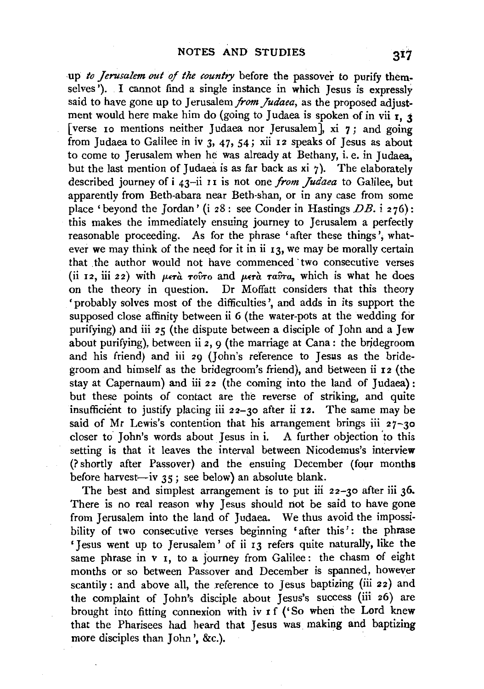up *to Jerusalem out of the country* before the passover to purify themselves'). I cannot find a single instance in which Jesus is expressly said to have gone up to Jerusalem *from Judaea,* as the proposed adjustment would here make him do (going to Judaea is spoken of in vii  $\mathbf{r}$ ,  $\mathbf{\hat{z}}$ [verse 10 mentions neither Judaea nor Jerusalem], xi 7; and going from Judaea to Galilee in iv 3, 47, 54; xii 12 speaks of Jesus as about to come to Jerusalem when he was already at Bethany, i.e. in Judaea, but the last mention of Judaea is as far back as xi 7). The elaborately described journey of i 43-ii 11 is not one *from Judaea* to Galilee, but apparently from Beth-abara near Beth-shan, or in any case from some place 'beyond the Jordan' (i  $28$ : see Conder in Hastings DB. i  $276$ ): this makes the immediately ensuing journey to Jerusalem a perfectly reasonable proceeding. As for the phrase 'after these things', whatever we may think of the need for it in ii  $13$ , we may be morally certain that the author would not have commenced two consecutive verses (ii 12, iii 22) with  $\mu$ *era To* $\hat{v}$ *ro* and  $\mu$ *era Ta* $\hat{v}$ *ra*, which is what he does on the theory in question. Dr Moffatt considers that this theory 'probably solves most of the difficulties', and adds in its support the supposed close affinity between ii 6 (the water-pots at the wedding for purifying) and iii 25 (the dispute between a disciple of John and a Jew about purifying), between ii 2, 9 (the marriage at Cana: the brjdegroom and his friend) and iii 29 (John's reference to Jesus as the bridegroom and himself as the bridegroom's friend), and between ii 12 (the stay at Capernaum) and iii 22 (the coming into the land of Judaea): but these points of contact are the reverse of striking, and quite insufficient to justify placing iii 22-30 after ii 12. The same may be said of Mr Lewis's contention that his arrangement brings iii  $27-30$ closer to John's words about Jesus in i. A further objection 'to this setting is that it leaves the interval between Nicodemus's interview (?shortly after Passover) and the ensuing December (four months before harvest-iv  $35$ ; see below) an absolute blank.

The best and simplest arrangement is to put iii  $22-30$  after iii 36. There is no real reason why Jesus should not be said to have gone from Jerusalem into the land of Judaea. We thus avoid the impossibility of two consecutive verses beginning 'after this': the phrase 'Jesus went up to Jerusalem' of ii 13 refers quite naturally, like the same phrase in v I, to a journey from Galilee: the chasm of eight months or so between Passover and December is spanned, however scantily: and above all, the reference to Jesus baptizing (iii 22) and the complaint of John's disciple about Jesus's success (iii 26) are brought into fitting connexion with iv 1 f ('So when the Lord knew that the Pharisees had heard that Jesus was making and baptizing more disciples than John', &c.).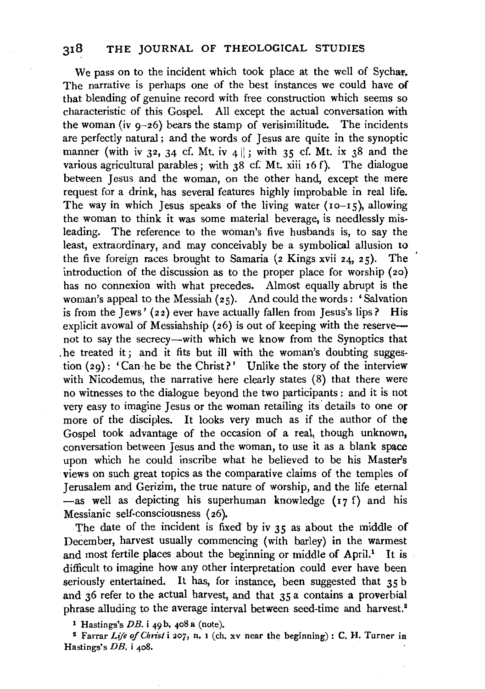### 318 THE JOURNAL OF THEOLOGICAL STUDIES

We pass on to the incident which took place at the well of Sychar. The narrative is perhaps one of the best instances we could have of that blending of genuine record with free construction which seems so characteristic of this Gospel. All except the actual conversation with the woman (iv  $9-26$ ) bears the stamp of verisimilitude. The incidents are perfectly natural; and the words of Jesus are quite in the synoptic manner (with iv 32, 34 cf. Mt. iv 4 $\parallel$ ; with 35 cf. Mt. ix 38 and the various agricultural parables; with  $38$  cf. Mt. xiii 16 f). The dialogue between Jesus and the woman, on the other hand, except the mere request for a drink, has several features highly improbable in real life. The way in which Jesus speaks of the living water  $(10 - 15)$ , allowing the woman to think it was some material beverage, is needlessly misleading. The reference to the woman's five husbands is, to say the least, extraordinary, and may conceivably be a symbolical allusion to the five foreign races brought to Samaria (2 Kings xvii 24, 25). The introduction of the discussion as to the proper place for worship  $(20)$ has no connexion with what precedes. Almost equally abrupt is the woman's appeal to the Messiah (25). And could the words: 'Salvation is from the Jews' (22) ever have actually fallen from Jesus's lips? His explicit avowal of Messiahship ( $26$ ) is out of keeping with the reservenot to say the secrecy-with which we know from the Synoptics that . he treated it; and it fits but ill with the woman's doubting suggestion (29): 'Can·he be the Christ?' Unlike the story of the interview with Nicodemus, the narrative here clearly states (8) that there were no witnesses to the dialogue beyond the two participants : and it is not very easy to imagine Jesus or the woman retailing its details to one or more of the disciples. It looks very much as if the author of the Gospel took advantage of the occasion of a real, though unknown, conversation between Jesus and the woman, to use it as a blank space upon which he could inscribe what he believed to be his Master's views on such great topics as the comparative claims of the temples of Jerusalem and Gerizim, the true nature of worship, and the life eternal  $-$ as well as depicting his superhuman knowledge (17 f) and his Messianic self-consciousness (26).

The date of the incident is fixed by iv 35 as about the middle of December, harvest usually commencing (with barley) in the warmest and most fertile places about the beginning or middle of April.<sup>1</sup> It is difficult to imagine how any other interpretation could ever have been seriously entertained. It has, for instance, been suggested that 35 b and 36 refer to the actual harvest, and that 35 a contains a proverbial phrase alluding to the average interval between seed-time and harvest.<sup>2</sup>

1 Hastings's DB. i 49 b, 408 a (note). 2 Farrar *Life of Chlisl* i 207, n. I ( ch. xv near the beginning) : C. H. Turner in Hastings's  $DB$ . i 408.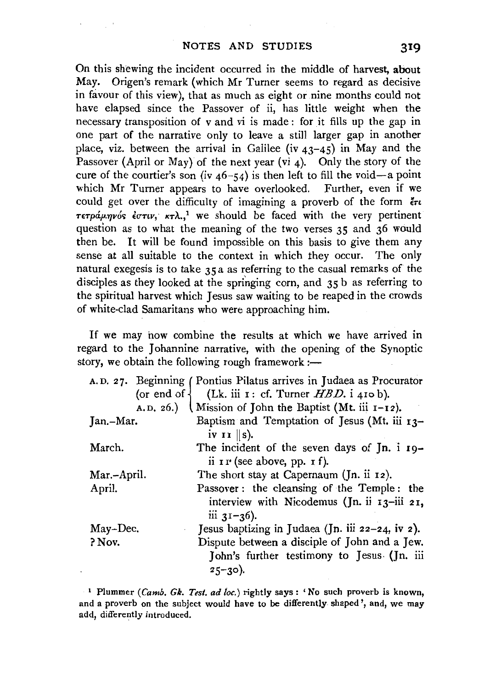On this shewing the incident occurred in the middle of harvest, about May. Origen's remark (which Mr Turner seems to regard as decisive in favour of this view), that as much as eight or nine months could not have elapsed since the Passover of ii, has little weight when the necessary transposition of v and vi is made : for it fills up the gap in one part of the narrative only to leave a still larger gap in another place, viz. between the arrival in Galilee (iv  $43-45$ ) in May and the Passover (April or May) of the next year (vi 4). Only the story of the cure of the courtier's son (iv  $46 - 54$ ) is then left to fill the void-a point which Mr Turner appears to have overlooked. Further, even if we could get over the difficulty of imagining a proverb of the form  $\zeta_{\tau}$ *nrp&.p:qv6<> £unv,* · KTA./ we should be faced with the very pertinent question as to what the meaning of the two verses 35 and 36 would then be. It will be found impossible on this basis to give them any sense at all suitable to the context in which they occur. The only natural exegesis is to take 35 a as referring to the casual remarks of the disciples as they looked at the springing corn, and  $35$  b as referring to the spiritual harvest which Jesus saw waiting to be reaped in the crowds of white-clad Samaritans who were approaching him.

If we may how combine the results at which we have arrived in regard to the Johannine narrative, with the opening of the Synoptic story, we obtain the following rough framework : $\overline{\phantom{a}}$ 

|             |  | A.D. 27. Beginning (Pontius Pilatus arrives in Judaea as Procurator |
|-------------|--|---------------------------------------------------------------------|
|             |  | (or end of $\{$ (Lk. iii 1: cf. Turner <i>HBD</i> . i 410 b).       |
|             |  | A.D. 26.) (Mission of John the Baptist (Mt. iii $I-I2$ ).           |
| Jan.-Mar.   |  | Baptism and Temptation of Jesus (Mt. iii 13-                        |
|             |  | $iv$ II $  s$ ).                                                    |
| March.      |  | The incident of the seven days of $Jn$ , i $19-$                    |
|             |  | ii $I \rightharpoonup$ (see above, pp. $I \rightharpoonup$ f).      |
| Mar.-April. |  | The short stay at Capernaum (Jn. ii 12).                            |
| April.      |  | Passover: the cleansing of the Temple: the                          |
|             |  | interview with Nicodemus (Jn. ii 13-iii 21,                         |
|             |  | iii $31 - 36$ ).                                                    |
| May-Dec.    |  | Jesus baptizing in Judaea (Jn. iii $22-24$ , iv 2).                 |
| ? Nov.      |  | Dispute between a disciple of John and a Jew.                       |
|             |  | John's further testimony to Jesus (Jn. iii                          |
|             |  | $25 - 30$ ).                                                        |

1 Plummer *(Camb. Gk. Test. ad loc.)* rightly says: 'No such proverb is known, and a proverb on the subject would have to be differently shaped', and, we may add, differently introduced.